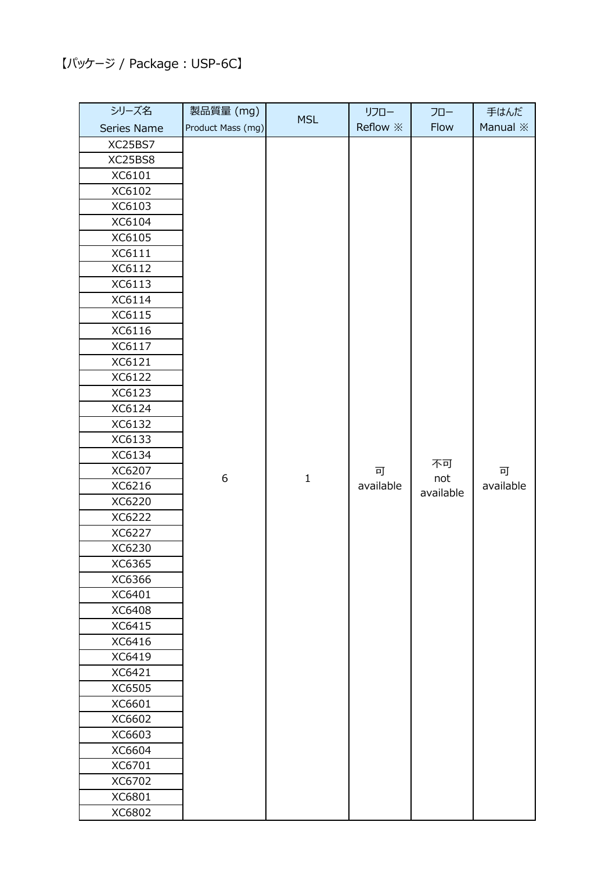## 【パッケージ / Package︓USP-6C】

| シリーズ名            | 製品質量 (mg)         | <b>MSL</b>  | リフロー<br>Reflow $\divideontimes$ | フロー<br>Flow | 手はんだ<br>Manual <b>※</b> |
|------------------|-------------------|-------------|---------------------------------|-------------|-------------------------|
| Series Name      | Product Mass (mg) |             |                                 |             |                         |
| XC25BS7          |                   |             |                                 |             |                         |
| XC25BS8          |                   |             |                                 |             |                         |
| XC6101           |                   |             |                                 |             |                         |
| XC6102           |                   |             |                                 |             |                         |
| XC6103           |                   |             |                                 |             |                         |
| XC6104           |                   |             |                                 |             |                         |
| XC6105           |                   |             |                                 |             |                         |
| XC6111           |                   |             |                                 |             |                         |
| XC6112           |                   |             |                                 |             |                         |
| XC6113           |                   |             |                                 |             |                         |
| XC6114           |                   |             |                                 |             |                         |
| XC6115           |                   |             |                                 |             |                         |
| XC6116           |                   |             |                                 |             |                         |
| XC6117           |                   |             |                                 |             |                         |
| XC6121           |                   |             |                                 |             |                         |
| XC6122           |                   |             |                                 |             |                         |
| XC6123           |                   |             |                                 |             |                         |
| XC6124           |                   |             |                                 |             |                         |
| XC6132           |                   |             |                                 |             |                         |
| XC6133           |                   |             |                                 |             |                         |
| XC6134           |                   |             |                                 | 不可          |                         |
| XC6207           | 6                 | $\mathbf 1$ | 可                               | not         | 可                       |
| XC6216           |                   |             | available                       | available   | available               |
| XC6220           |                   |             |                                 |             |                         |
| XC6222           |                   |             |                                 |             |                         |
| XC6227           |                   |             |                                 |             |                         |
| XC6230           |                   |             |                                 |             |                         |
| XC6365           |                   |             |                                 |             |                         |
| XC6366           |                   |             |                                 |             |                         |
| XC6401           |                   |             |                                 |             |                         |
| XC6408           |                   |             |                                 |             |                         |
| XC6415           |                   |             |                                 |             |                         |
| XC6416           |                   |             |                                 |             |                         |
| XC6419           |                   |             |                                 |             |                         |
| XC6421           |                   |             |                                 |             |                         |
| XC6505           |                   |             |                                 |             |                         |
| XC6601<br>XC6602 |                   |             |                                 |             |                         |
| XC6603           |                   |             |                                 |             |                         |
| XC6604           |                   |             |                                 |             |                         |
| XC6701           |                   |             |                                 |             |                         |
| XC6702           |                   |             |                                 |             |                         |
| XC6801           |                   |             |                                 |             |                         |
| XC6802           |                   |             |                                 |             |                         |
|                  |                   |             |                                 |             |                         |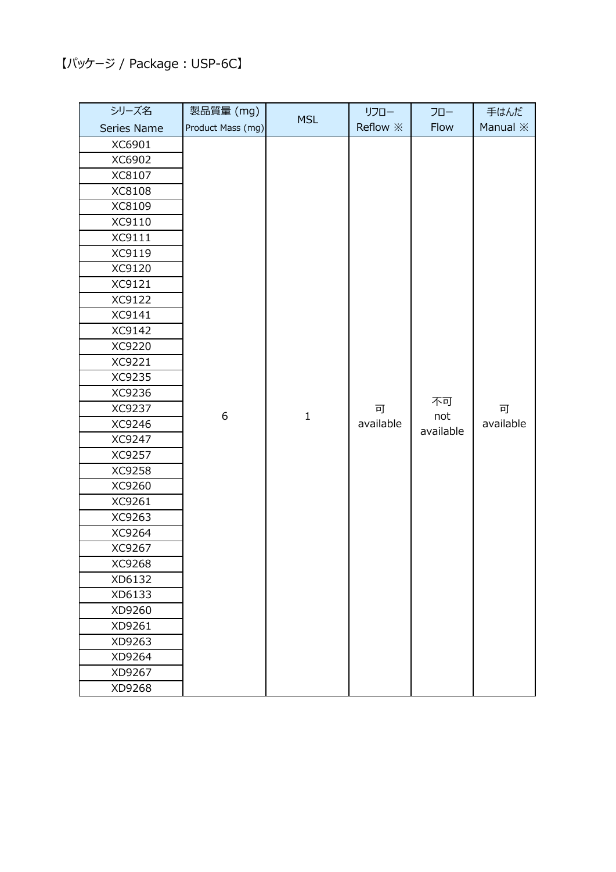## 【パッケージ / Package︓USP-6C】

| シリーズ名       | 製品質量 (mg)         | <b>MSL</b>  | リフロー                    | フロー                    | 手はんだ            |
|-------------|-------------------|-------------|-------------------------|------------------------|-----------------|
| Series Name | Product Mass (mg) |             | Reflow $\divideontimes$ | Flow                   | Manual <b>X</b> |
| XC6901      |                   | $\mathbf 1$ | 可<br>available          | 不可<br>not<br>available | 可<br>available  |
| XC6902      |                   |             |                         |                        |                 |
| XC8107      |                   |             |                         |                        |                 |
| XC8108      |                   |             |                         |                        |                 |
| XC8109      |                   |             |                         |                        |                 |
| XC9110      |                   |             |                         |                        |                 |
| XC9111      | 6                 |             |                         |                        |                 |
| XC9119      |                   |             |                         |                        |                 |
| XC9120      |                   |             |                         |                        |                 |
| XC9121      |                   |             |                         |                        |                 |
| XC9122      |                   |             |                         |                        |                 |
| XC9141      |                   |             |                         |                        |                 |
| XC9142      |                   |             |                         |                        |                 |
| XC9220      |                   |             |                         |                        |                 |
| XC9221      |                   |             |                         |                        |                 |
| XC9235      |                   |             |                         |                        |                 |
| XC9236      |                   |             |                         |                        |                 |
| XC9237      |                   |             |                         |                        |                 |
| XC9246      |                   |             |                         |                        |                 |
| XC9247      |                   |             |                         |                        |                 |
| XC9257      |                   |             |                         |                        |                 |
| XC9258      |                   |             |                         |                        |                 |
| XC9260      |                   |             |                         |                        |                 |
| XC9261      |                   |             |                         |                        |                 |
| XC9263      |                   |             |                         |                        |                 |
| XC9264      |                   |             |                         |                        |                 |
| XC9267      |                   |             |                         |                        |                 |
| XC9268      |                   |             |                         |                        |                 |
| XD6132      |                   |             |                         |                        |                 |
| XD6133      |                   |             |                         |                        |                 |
| XD9260      |                   |             |                         |                        |                 |
| XD9261      |                   |             |                         |                        |                 |
| XD9263      |                   |             |                         |                        |                 |
| XD9264      |                   |             |                         |                        |                 |
| XD9267      |                   |             |                         |                        |                 |
| XD9268      |                   |             |                         |                        |                 |